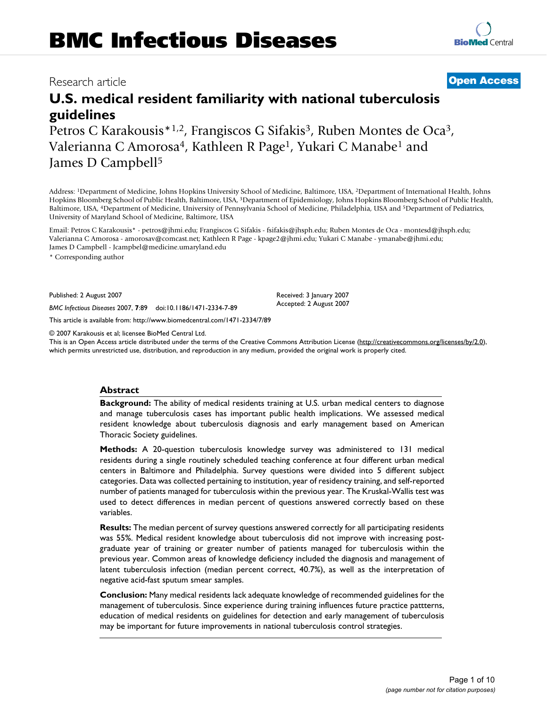## Research article **[Open Access](http://www.biomedcentral.com/info/about/charter/)**

# **U.S. medical resident familiarity with national tuberculosis guidelines**

Petros C Karakousis<sup>\*1,2</sup>, Frangiscos G Sifakis<sup>3</sup>, Ruben Montes de Oca<sup>3</sup>, Valerianna C Amorosa<sup>4</sup>, Kathleen R Page<sup>1</sup>, Yukari C Manabe<sup>1</sup> and James D Campbell5

Address: 1Department of Medicine, Johns Hopkins University School of Medicine, Baltimore, USA, 2Department of International Health, Johns Hopkins Bloomberg School of Public Health, Baltimore, USA, 3Department of Epidemiology, Johns Hopkins Bloomberg School of Public Health, Baltimore, USA, 4Department of Medicine, University of Pennsylvania School of Medicine, Philadelphia, USA and 5Department of Pediatrics, University of Maryland School of Medicine, Baltimore, USA

Email: Petros C Karakousis\* - petros@jhmi.edu; Frangiscos G Sifakis - fsifakis@jhsph.edu; Ruben Montes de Oca - montesd@jhsph.edu; Valerianna C Amorosa - amorosav@comcast.net; Kathleen R Page - kpage2@jhmi.edu; Yukari C Manabe - ymanabe@jhmi.edu; James D Campbell - Jcampbel@medicine.umaryland.edu

\* Corresponding author

Published: 2 August 2007

*BMC Infectious Diseases* 2007, **7**:89 doi:10.1186/1471-2334-7-89

[This article is available from: http://www.biomedcentral.com/1471-2334/7/89](http://www.biomedcentral.com/1471-2334/7/89)

© 2007 Karakousis et al; licensee BioMed Central Ltd.

This is an Open Access article distributed under the terms of the Creative Commons Attribution License [\(http://creativecommons.org/licenses/by/2.0\)](http://creativecommons.org/licenses/by/2.0), which permits unrestricted use, distribution, and reproduction in any medium, provided the original work is properly cited.

#### **Abstract**

**Background:** The ability of medical residents training at U.S. urban medical centers to diagnose and manage tuberculosis cases has important public health implications. We assessed medical resident knowledge about tuberculosis diagnosis and early management based on American Thoracic Society guidelines.

**Methods:** A 20-question tuberculosis knowledge survey was administered to 131 medical residents during a single routinely scheduled teaching conference at four different urban medical centers in Baltimore and Philadelphia. Survey questions were divided into 5 different subject categories. Data was collected pertaining to institution, year of residency training, and self-reported number of patients managed for tuberculosis within the previous year. The Kruskal-Wallis test was used to detect differences in median percent of questions answered correctly based on these variables.

**Results:** The median percent of survey questions answered correctly for all participating residents was 55%. Medical resident knowledge about tuberculosis did not improve with increasing postgraduate year of training or greater number of patients managed for tuberculosis within the previous year. Common areas of knowledge deficiency included the diagnosis and management of latent tuberculosis infection (median percent correct, 40.7%), as well as the interpretation of negative acid-fast sputum smear samples.

**Conclusion:** Many medical residents lack adequate knowledge of recommended guidelines for the management of tuberculosis. Since experience during training influences future practice pattterns, education of medical residents on guidelines for detection and early management of tuberculosis may be important for future improvements in national tuberculosis control strategies.

Received: 3 January 2007 Accepted: 2 August 2007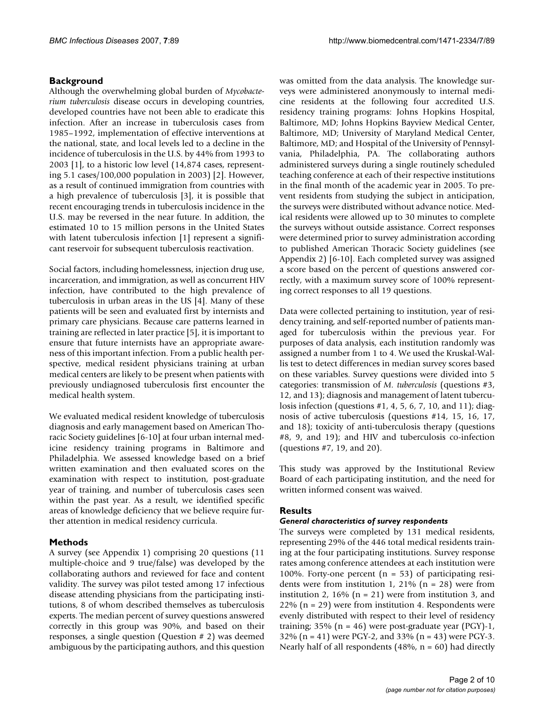## **Background**

Although the overwhelming global burden of *Mycobacterium tuberculosis* disease occurs in developing countries, developed countries have not been able to eradicate this infection. After an increase in tuberculosis cases from 1985–1992, implementation of effective interventions at the national, state, and local levels led to a decline in the incidence of tuberculosis in the U.S. by 44% from 1993 to 2003 [1], to a historic low level (14,874 cases, representing 5.1 cases/100,000 population in 2003) [2]. However, as a result of continued immigration from countries with a high prevalence of tuberculosis [3], it is possible that recent encouraging trends in tuberculosis incidence in the U.S. may be reversed in the near future. In addition, the estimated 10 to 15 million persons in the United States with latent tuberculosis infection [1] represent a significant reservoir for subsequent tuberculosis reactivation.

Social factors, including homelessness, injection drug use, incarceration, and immigration, as well as concurrent HIV infection, have contributed to the high prevalence of tuberculosis in urban areas in the US [4]. Many of these patients will be seen and evaluated first by internists and primary care physicians. Because care patterns learned in training are reflected in later practice [5], it is important to ensure that future internists have an appropriate awareness of this important infection. From a public health perspective, medical resident physicians training at urban medical centers are likely to be present when patients with previously undiagnosed tuberculosis first encounter the medical health system.

We evaluated medical resident knowledge of tuberculosis diagnosis and early management based on American Thoracic Society guidelines [6-[10](#page-8-0)] at four urban internal medicine residency training programs in Baltimore and Philadelphia. We assessed knowledge based on a brief written examination and then evaluated scores on the examination with respect to institution, post-graduate year of training, and number of tuberculosis cases seen within the past year. As a result, we identified specific areas of knowledge deficiency that we believe require further attention in medical residency curricula.

## **Methods**

A survey (see Appendix 1) comprising 20 questions (11 multiple-choice and 9 true/false) was developed by the collaborating authors and reviewed for face and content validity. The survey was pilot tested among 17 infectious disease attending physicians from the participating institutions, 8 of whom described themselves as tuberculosis experts. The median percent of survey questions answered correctly in this group was 90%, and based on their responses, a single question (Question # 2) was deemed ambiguous by the participating authors, and this question

was omitted from the data analysis. The knowledge surveys were administered anonymously to internal medicine residents at the following four accredited U.S. residency training programs: Johns Hopkins Hospital, Baltimore, MD; Johns Hopkins Bayview Medical Center, Baltimore, MD; University of Maryland Medical Center, Baltimore, MD; and Hospital of the University of Pennsylvania, Philadelphia, PA. The collaborating authors administered surveys during a single routinely scheduled teaching conference at each of their respective institutions in the final month of the academic year in 2005. To prevent residents from studying the subject in anticipation, the surveys were distributed without advance notice. Medical residents were allowed up to 30 minutes to complete the surveys without outside assistance. Correct responses were determined prior to survey administration according to published American Thoracic Society guidelines (see Appendix 2) [6-[10](#page-8-0)]. Each completed survey was assigned a score based on the percent of questions answered correctly, with a maximum survey score of 100% representing correct responses to all 19 questions.

Data were collected pertaining to institution, year of residency training, and self-reported number of patients managed for tuberculosis within the previous year. For purposes of data analysis, each institution randomly was assigned a number from 1 to 4. We used the Kruskal-Wallis test to detect differences in median survey scores based on these variables. Survey questions were divided into 5 categories: transmission of *M. tuberculosis* (questions #3, 12, and 13); diagnosis and management of latent tuberculosis infection (questions #1, 4, 5, 6, 7, 10, and 11); diagnosis of active tuberculosis (questions #14, 15, 16, 17, and 18); toxicity of anti-tuberculosis therapy (questions #8, 9, and 19); and HIV and tuberculosis co-infection (questions #7, 19, and 20).

This study was approved by the Institutional Review Board of each participating institution, and the need for written informed consent was waived.

#### **Results**

#### *General characteristics of survey respondents*

The surveys were completed by 131 medical residents, representing 29% of the 446 total medical residents training at the four participating institutions. Survey response rates among conference attendees at each institution were 100%. Forty-one percent  $(n = 53)$  of participating residents were from institution 1, 21% ( $n = 28$ ) were from institution 2, 16% ( $n = 21$ ) were from institution 3, and 22% (n = 29) were from institution 4. Respondents were evenly distributed with respect to their level of residency training;  $35\%$  (n = 46) were post-graduate year (PGY)-1, 32% (n = 41) were PGY-2, and 33% (n = 43) were PGY-3. Nearly half of all respondents  $(48\% , n = 60)$  had directly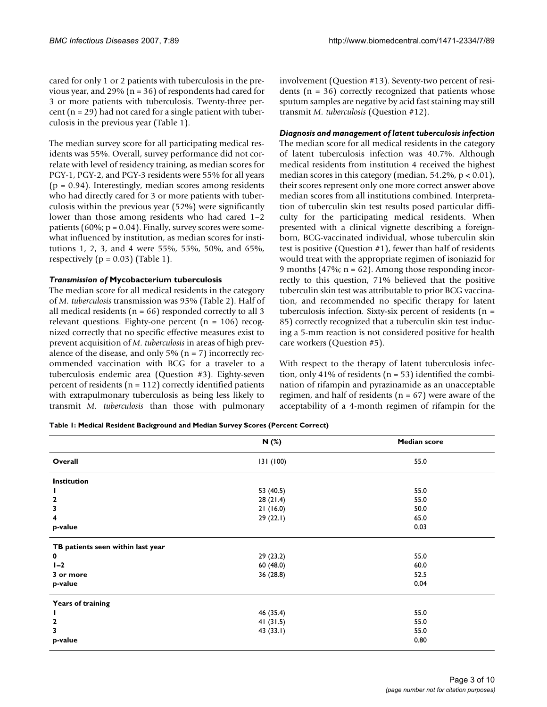cared for only 1 or 2 patients with tuberculosis in the previous year, and 29% ( $n = 36$ ) of respondents had cared for 3 or more patients with tuberculosis. Twenty-three percent  $(n = 29)$  had not cared for a single patient with tuberculosis in the previous year (Table 1).

The median survey score for all participating medical residents was 55%. Overall, survey performance did not correlate with level of residency training, as median scores for PGY-1, PGY-2, and PGY-3 residents were 55% for all years  $(p = 0.94)$ . Interestingly, median scores among residents who had directly cared for 3 or more patients with tuberculosis within the previous year (52%) were significantly lower than those among residents who had cared 1–2 patients  $(60\%; p = 0.04)$ . Finally, survey scores were somewhat influenced by institution, as median scores for institutions 1, 2, 3, and 4 were 55%, 55%, 50%, and 65%, respectively ( $p = 0.03$ ) (Table 1).

## *Transmission of* **Mycobacterium tuberculosis**

The median score for all medical residents in the category of *M. tuberculosis* transmission was 95% (Table 2). Half of all medical residents ( $n = 66$ ) responded correctly to all 3 relevant questions. Eighty-one percent  $(n = 106)$  recognized correctly that no specific effective measures exist to prevent acquisition of *M. tuberculosis* in areas of high prevalence of the disease, and only 5% ( $n = 7$ ) incorrectly recommended vaccination with BCG for a traveler to a tuberculosis endemic area (Question #3). Eighty-seven percent of residents  $(n = 112)$  correctly identified patients with extrapulmonary tuberculosis as being less likely to transmit *M. tuberculosis* than those with pulmonary involvement (Question #13). Seventy-two percent of residents  $(n = 36)$  correctly recognized that patients whose sputum samples are negative by acid fast staining may still transmit *M. tuberculosis* (Question #12).

## *Diagnosis and management of latent tuberculosis infection*

The median score for all medical residents in the category of latent tuberculosis infection was 40.7%. Although medical residents from institution 4 received the highest median scores in this category (median,  $54.2\%$ ,  $p < 0.01$ ), their scores represent only one more correct answer above median scores from all institutions combined. Interpretation of tuberculin skin test results posed particular difficulty for the participating medical residents. When presented with a clinical vignette describing a foreignborn, BCG-vaccinated individual, whose tuberculin skin test is positive (Question #1), fewer than half of residents would treat with the appropriate regimen of isoniazid for 9 months (47%;  $n = 62$ ). Among those responding incorrectly to this question, 71% believed that the positive tuberculin skin test was attributable to prior BCG vaccination, and recommended no specific therapy for latent tuberculosis infection. Sixty-six percent of residents (n = 85) correctly recognized that a tuberculin skin test inducing a 5-mm reaction is not considered positive for health care workers (Question #5).

With respect to the therapy of latent tuberculosis infection, only 41% of residents ( $n = 53$ ) identified the combination of rifampin and pyrazinamide as an unacceptable regimen, and half of residents ( $n = 67$ ) were aware of the acceptability of a 4-month regimen of rifampin for the

**Table 1: Medical Resident Background and Median Survey Scores (Percent Correct)**

|                                   | $N$ (%)   | <b>Median score</b> |
|-----------------------------------|-----------|---------------------|
| Overall                           | 131(100)  | 55.0                |
| Institution                       |           |                     |
| J.                                | 53 (40.5) | 55.0                |
| $\mathbf{2}$                      | 28(21.4)  | 55.0                |
| 3                                 | 21(16.0)  | 50.0                |
| 4                                 | 29(22.1)  | 65.0                |
| p-value                           |           | 0.03                |
| TB patients seen within last year |           |                     |
| 0                                 | 29(23.2)  | 55.0                |
| $1-2$                             | 60 (48.0) | 60.0                |
| 3 or more                         | 36 (28.8) | 52.5                |
| p-value                           |           | 0.04                |
| Years of training                 |           |                     |
| J.                                | 46 (35.4) | 55.0                |
| $\mathbf{2}$                      | 41(31.5)  | 55.0                |
| 3                                 | 43(33.1)  | 55.0                |
| p-value                           |           | 0.80                |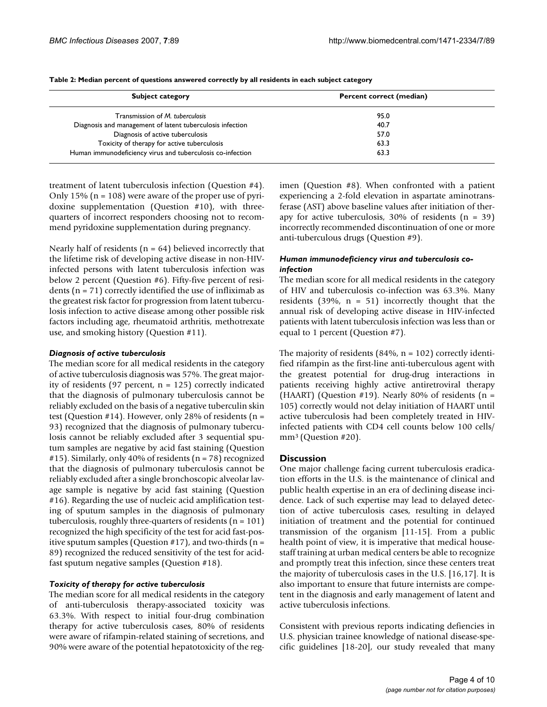| <b>Subject category</b>                                    | Percent correct (median) |
|------------------------------------------------------------|--------------------------|
| Transmission of M. tuberculosis                            | 95.0                     |
| Diagnosis and management of latent tuberculosis infection  | 40.7                     |
| Diagnosis of active tuberculosis                           | 57.0                     |
| Toxicity of therapy for active tuberculosis                | 63.3                     |
| Human immunodeficiency virus and tuberculosis co-infection | 63.3                     |

**Table 2: Median percent of questions answered correctly by all residents in each subject category**

treatment of latent tuberculosis infection (Question #4). Only 15% ( $n = 108$ ) were aware of the proper use of pyridoxine supplementation (Question #10), with threequarters of incorrect responders choosing not to recommend pyridoxine supplementation during pregnancy.

Nearly half of residents ( $n = 64$ ) believed incorrectly that the lifetime risk of developing active disease in non-HIVinfected persons with latent tuberculosis infection was below 2 percent (Question #6). Fifty-five percent of residents  $(n = 71)$  correctly identified the use of infliximab as the greatest risk factor for progression from latent tuberculosis infection to active disease among other possible risk factors including age, rheumatoid arthritis, methotrexate use, and smoking history (Question #11).

#### *Diagnosis of active tuberculosis*

The median score for all medical residents in the category of active tuberculosis diagnosis was 57%. The great majority of residents (97 percent,  $n = 125$ ) correctly indicated that the diagnosis of pulmonary tuberculosis cannot be reliably excluded on the basis of a negative tuberculin skin test (Question #14). However, only 28% of residents ( $n =$ 93) recognized that the diagnosis of pulmonary tuberculosis cannot be reliably excluded after 3 sequential sputum samples are negative by acid fast staining (Question #15). Similarly, only 40% of residents (n = 78) recognized that the diagnosis of pulmonary tuberculosis cannot be reliably excluded after a single bronchoscopic alveolar lavage sample is negative by acid fast staining (Question #16). Regarding the use of nucleic acid amplification testing of sputum samples in the diagnosis of pulmonary tuberculosis, roughly three-quarters of residents  $(n = 101)$ recognized the high specificity of the test for acid fast-positive sputum samples (Question  $#17$ ), and two-thirds (n = 89) recognized the reduced sensitivity of the test for acidfast sputum negative samples (Question #18).

## *Toxicity of therapy for active tuberculosis*

The median score for all medical residents in the category of anti-tuberculosis therapy-associated toxicity was 63.3%. With respect to initial four-drug combination therapy for active tuberculosis cases, 80% of residents were aware of rifampin-related staining of secretions, and 90% were aware of the potential hepatotoxicity of the regimen (Question #8). When confronted with a patient experiencing a 2-fold elevation in aspartate aminotransferase (AST) above baseline values after initiation of therapy for active tuberculosis,  $30\%$  of residents (n = 39) incorrectly recommended discontinuation of one or more anti-tuberculous drugs (Question #9).

## *Human immunodeficiency virus and tuberculosis coinfection*

The median score for all medical residents in the category of HIV and tuberculosis co-infection was 63.3%. Many residents (39%,  $n = 51$ ) incorrectly thought that the annual risk of developing active disease in HIV-infected patients with latent tuberculosis infection was less than or equal to 1 percent (Question #7).

The majority of residents (84%,  $n = 102$ ) correctly identified rifampin as the first-line anti-tuberculous agent with the greatest potential for drug-drug interactions in patients receiving highly active antiretroviral therapy (HAART) (Question #19). Nearly 80% of residents ( $n =$ 105) correctly would not delay initiation of HAART until active tuberculosis had been completely treated in HIVinfected patients with CD4 cell counts below 100 cells/ mm<sup>3</sup> (Question #20).

## **Discussion**

One major challenge facing current tuberculosis eradication efforts in the U.S. is the maintenance of clinical and public health expertise in an era of declining disease incidence. Lack of such expertise may lead to delayed detection of active tuberculosis cases, resulting in delayed initiation of treatment and the potential for continued transmission of the organism [11-15]. From a public health point of view, it is imperative that medical housestaff training at urban medical centers be able to recognize and promptly treat this infection, since these centers treat the majority of tuberculosis cases in the U.S. [16,17]. It is also important to ensure that future internists are competent in the diagnosis and early management of latent and active tuberculosis infections.

Consistent with previous reports indicating defiencies in U.S. physician trainee knowledge of national disease-specific guidelines [18-20], our study revealed that many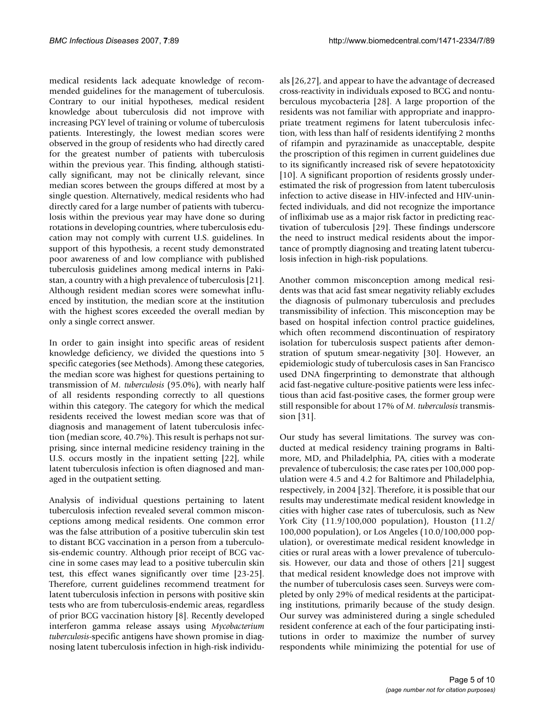medical residents lack adequate knowledge of recommended guidelines for the management of tuberculosis. Contrary to our initial hypotheses, medical resident knowledge about tuberculosis did not improve with increasing PGY level of training or volume of tuberculosis patients. Interestingly, the lowest median scores were observed in the group of residents who had directly cared for the greatest number of patients with tuberculosis within the previous year. This finding, although statistically significant, may not be clinically relevant, since median scores between the groups differed at most by a single question. Alternatively, medical residents who had directly cared for a large number of patients with tuberculosis within the previous year may have done so during rotations in developing countries, where tuberculosis education may not comply with current U.S. guidelines. In support of this hypothesis, a recent study demonstrated poor awareness of and low compliance with published tuberculosis guidelines among medical interns in Pakistan, a country with a high prevalence of tuberculosis [21]. Although resident median scores were somewhat influenced by institution, the median score at the institution with the highest scores exceeded the overall median by only a single correct answer.

In order to gain insight into specific areas of resident knowledge deficiency, we divided the questions into 5 specific categories (see Methods). Among these categories, the median score was highest for questions pertaining to transmission of *M. tuberculosis* (95.0%), with nearly half of all residents responding correctly to all questions within this category. The category for which the medical residents received the lowest median score was that of diagnosis and management of latent tuberculosis infection (median score, 40.7%). This result is perhaps not surprising, since internal medicine residency training in the U.S. occurs mostly in the inpatient setting [22], while latent tuberculosis infection is often diagnosed and managed in the outpatient setting.

Analysis of individual questions pertaining to latent tuberculosis infection revealed several common misconceptions among medical residents. One common error was the false attribution of a positive tuberculin skin test to distant BCG vaccination in a person from a tuberculosis-endemic country. Although prior receipt of BCG vaccine in some cases may lead to a positive tuberculin skin test, this effect wanes significantly over time [23-25]. Therefore, current guidelines recommend treatment for latent tuberculosis infection in persons with positive skin tests who are from tuberculosis-endemic areas, regardless of prior BCG vaccination history [[8](#page-8-1)]. Recently developed interferon gamma release assays using *Mycobacterium tuberculosis*-specific antigens have shown promise in diagnosing latent tuberculosis infection in high-risk individuals [26,27], and appear to have the advantage of decreased cross-reactivity in individuals exposed to BCG and nontuberculous mycobacteria [28]. A large proportion of the residents was not familiar with appropriate and inappropriate treatment regimens for latent tuberculosis infection, with less than half of residents identifying 2 months of rifampin and pyrazinamide as unacceptable, despite the proscription of this regimen in current guidelines due to its significantly increased risk of severe hepatotoxicity [[10](#page-8-0)]. A significant proportion of residents grossly underestimated the risk of progression from latent tuberculosis infection to active disease in HIV-infected and HIV-uninfected individuals, and did not recognize the importance of infliximab use as a major risk factor in predicting reactivation of tuberculosis [29]. These findings underscore the need to instruct medical residents about the importance of promptly diagnosing and treating latent tuberculosis infection in high-risk populations.

Another common misconception among medical residents was that acid fast smear negativity reliably excludes the diagnosis of pulmonary tuberculosis and precludes transmissibility of infection. This misconception may be based on hospital infection control practice guidelines, which often recommend discontinuation of respiratory isolation for tuberculosis suspect patients after demonstration of sputum smear-negativity [30]. However, an epidemiologic study of tuberculosis cases in San Francisco used DNA fingerprinting to demonstrate that although acid fast-negative culture-positive patients were less infectious than acid fast-positive cases, the former group were still responsible for about 17% of *M. tuberculosis* transmission [31].

Our study has several limitations. The survey was conducted at medical residency training programs in Baltimore, MD, and Philadelphia, PA, cities with a moderate prevalence of tuberculosis; the case rates per 100,000 population were 4.5 and 4.2 for Baltimore and Philadelphia, respectively, in 2004 [32]. Therefore, it is possible that our results may underestimate medical resident knowledge in cities with higher case rates of tuberculosis, such as New York City (11.9/100,000 population), Houston (11.2/ 100,000 population), or Los Angeles (10.0/100,000 population), or overestimate medical resident knowledge in cities or rural areas with a lower prevalence of tuberculosis. However, our data and those of others [21] suggest that medical resident knowledge does not improve with the number of tuberculosis cases seen. Surveys were completed by only 29% of medical residents at the participating institutions, primarily because of the study design. Our survey was administered during a single scheduled resident conference at each of the four participating institutions in order to maximize the number of survey respondents while minimizing the potential for use of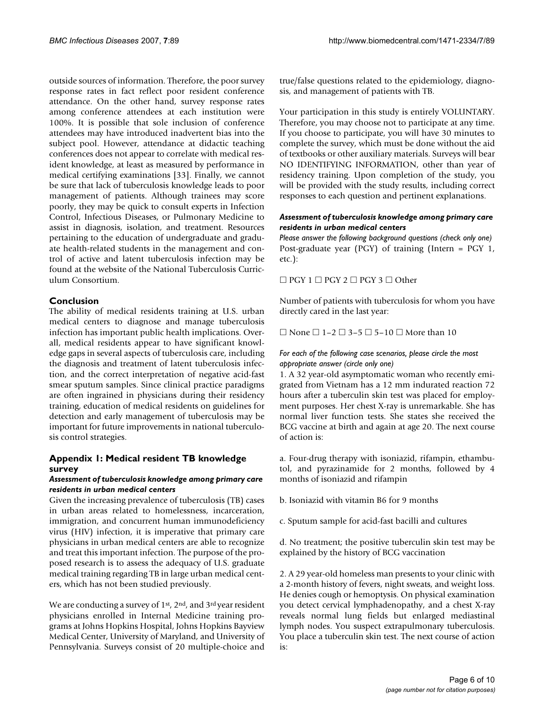outside sources of information. Therefore, the poor survey response rates in fact reflect poor resident conference attendance. On the other hand, survey response rates among conference attendees at each institution were 100%. It is possible that sole inclusion of conference attendees may have introduced inadvertent bias into the subject pool. However, attendance at didactic teaching conferences does not appear to correlate with medical resident knowledge, at least as measured by performance in medical certifying examinations [33]. Finally, we cannot be sure that lack of tuberculosis knowledge leads to poor management of patients. Although trainees may score poorly, they may be quick to consult experts in Infection Control, Infectious Diseases, or Pulmonary Medicine to assist in diagnosis, isolation, and treatment. Resources pertaining to the education of undergraduate and graduate health-related students in the management and control of active and latent tuberculosis infection may be found at the website of the National Tuberculosis Curriculum Consortium.

## **Conclusion**

The ability of medical residents training at U.S. urban medical centers to diagnose and manage tuberculosis infection has important public health implications. Overall, medical residents appear to have significant knowledge gaps in several aspects of tuberculosis care, including the diagnosis and treatment of latent tuberculosis infection, and the correct interpretation of negative acid-fast smear sputum samples. Since clinical practice paradigms are often ingrained in physicians during their residency training, education of medical residents on guidelines for detection and early management of tuberculosis may be important for future improvements in national tuberculosis control strategies.

## **Appendix 1: Medical resident TB knowledge survey**

## *Assessment of tuberculosis knowledge among primary care residents in urban medical centers*

Given the increasing prevalence of tuberculosis (TB) cases in urban areas related to homelessness, incarceration, immigration, and concurrent human immunodeficiency virus (HIV) infection, it is imperative that primary care physicians in urban medical centers are able to recognize and treat this important infection. The purpose of the proposed research is to assess the adequacy of U.S. graduate medical training regarding TB in large urban medical centers, which has not been studied previously.

We are conducting a survey of 1<sup>st</sup>, 2<sup>nd</sup>, and 3<sup>rd</sup> year resident physicians enrolled in Internal Medicine training programs at Johns Hopkins Hospital, Johns Hopkins Bayview Medical Center, University of Maryland, and University of Pennsylvania. Surveys consist of 20 multiple-choice and true/false questions related to the epidemiology, diagnosis, and management of patients with TB.

Your participation in this study is entirely VOLUNTARY. Therefore, you may choose not to participate at any time. If you choose to participate, you will have 30 minutes to complete the survey, which must be done without the aid of textbooks or other auxiliary materials. Surveys will bear NO IDENTIFYING INFORMATION, other than year of residency training. Upon completion of the study, you will be provided with the study results, including correct responses to each question and pertinent explanations.

## *Assessment of tuberculosis knowledge among primary care residents in urban medical centers*

*Please answer the following background questions (check only one)* Post-graduate year (PGY) of training (Intern = PGY 1, etc.):

 $\Box$  PGY 1  $\Box$  PGY 2  $\Box$  PGY 3  $\Box$  Other

Number of patients with tuberculosis for whom you have directly cared in the last year:

 $\Box$  None  $\Box$  1–2  $\Box$  3–5  $\Box$  5–10  $\Box$  More than 10

## *For each of the following case scenarios, please circle the most appropriate answer (circle only one)*

1. A 32 year-old asymptomatic woman who recently emigrated from Vietnam has a 12 mm indurated reaction 72 hours after a tuberculin skin test was placed for employment purposes. Her chest X-ray is unremarkable. She has normal liver function tests. She states she received the BCG vaccine at birth and again at age 20. The next course of action is:

a. Four-drug therapy with isoniazid, rifampin, ethambutol, and pyrazinamide for 2 months, followed by 4 months of isoniazid and rifampin

- b. Isoniazid with vitamin B6 for 9 months
- c. Sputum sample for acid-fast bacilli and cultures

d. No treatment; the positive tuberculin skin test may be explained by the history of BCG vaccination

2. A 29 year-old homeless man presents to your clinic with a 2-month history of fevers, night sweats, and weight loss. He denies cough or hemoptysis. On physical examination you detect cervical lymphadenopathy, and a chest X-ray reveals normal lung fields but enlarged mediastinal lymph nodes. You suspect extrapulmonary tuberculosis. You place a tuberculin skin test. The next course of action is: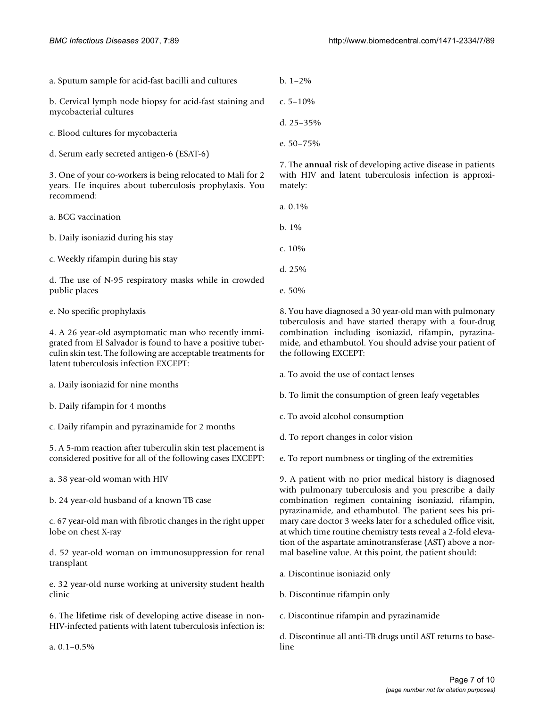| a. Sputum sample for acid-fast bacilli and cultures                                | $b. 1-2\%$    |
|------------------------------------------------------------------------------------|---------------|
| b. Cervical lymph node biopsy for acid-fast staining and<br>mycobacterial cultures | c. $5-10\%$   |
|                                                                                    | d. $25 - 35%$ |
| c. Blood cultures for mycobacteria                                                 | e. $50 - 75%$ |
| d. Serum early secreted antigen-6 (ESAT-6)                                         |               |

3. One of your co-workers is being relocated to Mali for 2 years. He inquires about tuberculosis prophylaxis. You recommend:

a. BCG vaccination

b. Daily isoniazid during his stay

c. Weekly rifampin during his stay

d. The use of N-95 respiratory masks while in crowded public places

e. No specific prophylaxis

4. A 26 year-old asymptomatic man who recently immigrated from El Salvador is found to have a positive tuberculin skin test. The following are acceptable treatments for latent tuberculosis infection EXCEPT:

a. Daily isoniazid for nine months

b. Daily rifampin for 4 months

c. Daily rifampin and pyrazinamide for 2 months

5. A 5-mm reaction after tuberculin skin test placement is considered positive for all of the following cases EXCEPT:

a. 38 year-old woman with HIV

b. 24 year-old husband of a known TB case

c. 67 year-old man with fibrotic changes in the right upper lobe on chest X-ray

d. 52 year-old woman on immunosuppression for renal transplant

e. 32 year-old nurse working at university student health clinic

6. The **lifetime** risk of developing active disease in non-HIV-infected patients with latent tuberculosis infection is:

a. 0.1–0.5%

7. The **annual** risk of developing active disease in patients with HIV and latent tuberculosis infection is approximately:

a. 0.1%

b. 1%

 $c. 10%$ 

d. 25%

e. 50%

8. You have diagnosed a 30 year-old man with pulmonary tuberculosis and have started therapy with a four-drug combination including isoniazid, rifampin, pyrazinamide, and ethambutol. You should advise your patient of the following EXCEPT:

a. To avoid the use of contact lenses

b. To limit the consumption of green leafy vegetables

c. To avoid alcohol consumption

d. To report changes in color vision

e. To report numbness or tingling of the extremities

9. A patient with no prior medical history is diagnosed with pulmonary tuberculosis and you prescribe a daily combination regimen containing isoniazid, rifampin, pyrazinamide, and ethambutol. The patient sees his primary care doctor 3 weeks later for a scheduled office visit, at which time routine chemistry tests reveal a 2-fold elevation of the aspartate aminotransferase (AST) above a normal baseline value. At this point, the patient should:

a. Discontinue isoniazid only

b. Discontinue rifampin only

c. Discontinue rifampin and pyrazinamide

d. Discontinue all anti-TB drugs until AST returns to baseline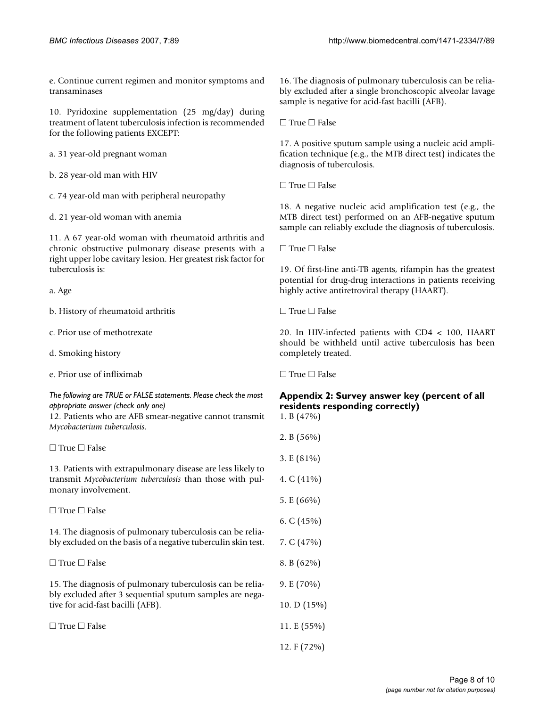e. Continue current regimen and monitor symptoms and transaminases

10. Pyridoxine supplementation (25 mg/day) during treatment of latent tuberculosis infection is recommended for the following patients EXCEPT:

a. 31 year-old pregnant woman

b. 28 year-old man with HIV

c. 74 year-old man with peripheral neuropathy

d. 21 year-old woman with anemia

11. A 67 year-old woman with rheumatoid arthritis and chronic obstructive pulmonary disease presents with a right upper lobe cavitary lesion. Her greatest risk factor for tuberculosis is:

a. Age

b. History of rheumatoid arthritis

c. Prior use of methotrexate

d. Smoking history

e. Prior use of infliximab

*The following are TRUE or FALSE statements. Please check the most appropriate answer (check only one)*

12. Patients who are AFB smear-negative cannot transmit *Mycobacterium tuberculosis*.

 $\square$  True  $\square$  False

13. Patients with extrapulmonary disease are less likely to transmit *Mycobacterium tuberculosis* than those with pulmonary involvement.

 $\square$  True  $\square$  False

14. The diagnosis of pulmonary tuberculosis can be reliably excluded on the basis of a negative tuberculin skin test.

 $\square$  True  $\square$  False

15. The diagnosis of pulmonary tuberculosis can be reliably excluded after 3 sequential sputum samples are negative for acid-fast bacilli (AFB).

 $\square$  True  $\square$  False

16. The diagnosis of pulmonary tuberculosis can be reliably excluded after a single bronchoscopic alveolar lavage sample is negative for acid-fast bacilli (AFB).

 $\square$  True  $\square$  False

17. A positive sputum sample using a nucleic acid amplification technique (e.g., the MTB direct test) indicates the diagnosis of tuberculosis.

 $\square$  True  $\square$  False

18. A negative nucleic acid amplification test (e.g., the MTB direct test) performed on an AFB-negative sputum sample can reliably exclude the diagnosis of tuberculosis.

 $\square$  True  $\square$  False

19. Of first-line anti-TB agents, rifampin has the greatest potential for drug-drug interactions in patients receiving highly active antiretroviral therapy (HAART).

 $\square$  True  $\square$  False

20. In HIV-infected patients with CD4 < 100, HAART should be withheld until active tuberculosis has been completely treated.

 $\square$  True  $\square$  False

## **Appendix 2: Survey answer key (percent of all residents responding correctly)** 1. B (47%)

2. B (56%) 3. E (81%) 4. C (41%) 5. E (66%) 6. C (45%) 7. C (47%) 8. B (62%) 9. E (70%) 10. D (15%) 11. E (55%) 12. F (72%)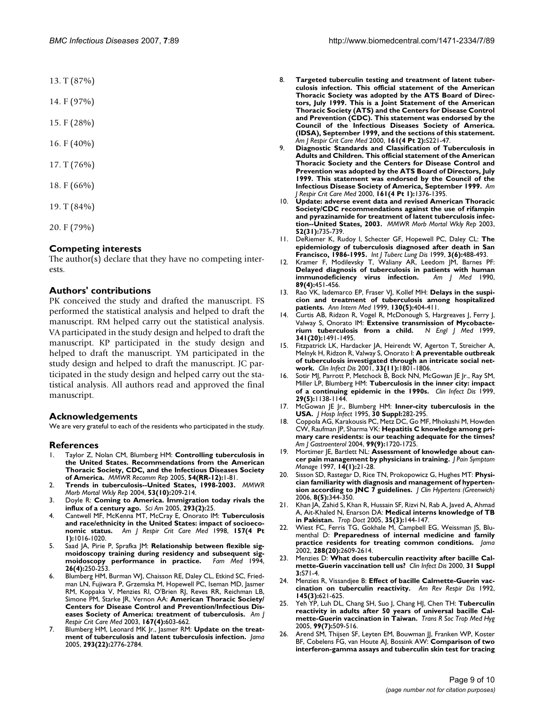- 13. T (87%)
- 14. F (97%)
- 15. F (28%)
- 16. F (40%)
- 17. T (76%)
- 18. F (66%)
- 19. T (84%)
- 20. F (79%)

#### **Competing interests**

The author(s) declare that they have no competing interests.

## **Authors' contributions**

PK conceived the study and drafted the manuscript. FS performed the statistical analysis and helped to draft the manuscript. RM helped carry out the statistical analysis. VA participated in the study design and helped to draft the manuscript. KP participated in the study design and helped to draft the manuscript. YM participated in the study design and helped to draft the manuscript. JC participated in the study design and helped carry out the statistical analysis. All authors read and approved the final manuscript.

#### **Acknowledgements**

We are very grateful to each of the residents who participated in the study.

#### **References**

- 1. Taylor Z, Nolan CM, Blumberg HM: **[Controlling tuberculosis in](http://www.ncbi.nlm.nih.gov/entrez/query.fcgi?cmd=Retrieve&db=PubMed&dopt=Abstract&list_uids=16267499) [the United States. Recommendations from the American](http://www.ncbi.nlm.nih.gov/entrez/query.fcgi?cmd=Retrieve&db=PubMed&dopt=Abstract&list_uids=16267499) Thoracic Society, CDC, and the Infectious Diseases Society [of America.](http://www.ncbi.nlm.nih.gov/entrez/query.fcgi?cmd=Retrieve&db=PubMed&dopt=Abstract&list_uids=16267499)** *MMWR Recomm Rep* 2005, **54(RR-12):**1-81.
- 2. **Trends in tuberculosis--United States, 1998-2003.** *MMWR Morb Mortal Wkly Rep* 2004, **53(10):**209-214.
- 3. Doyle R: **Coming to America. Immigration today rivals the influx of a century ago.** *Sci Am* 2005, **293(2):**25.
- 4. Cantwell MF, McKenna MT, McCray E, Onorato IM: **[Tuberculosis](http://www.ncbi.nlm.nih.gov/entrez/query.fcgi?cmd=Retrieve&db=PubMed&dopt=Abstract&list_uids=9563713) [and race/ethnicity in the United States: impact of socioeco](http://www.ncbi.nlm.nih.gov/entrez/query.fcgi?cmd=Retrieve&db=PubMed&dopt=Abstract&list_uids=9563713)[nomic status.](http://www.ncbi.nlm.nih.gov/entrez/query.fcgi?cmd=Retrieve&db=PubMed&dopt=Abstract&list_uids=9563713)** *Am J Respir Crit Care Med* 1998, **157(4 Pt 1):**1016-1020.
- 5. Saad JA, Pirie P, Sprafka JM: **[Relationship between flexible sig](http://www.ncbi.nlm.nih.gov/entrez/query.fcgi?cmd=Retrieve&db=PubMed&dopt=Abstract&list_uids=8034144)[moidoscopy training during residency and subsequent sig](http://www.ncbi.nlm.nih.gov/entrez/query.fcgi?cmd=Retrieve&db=PubMed&dopt=Abstract&list_uids=8034144)[moidoscopy performance in practice.](http://www.ncbi.nlm.nih.gov/entrez/query.fcgi?cmd=Retrieve&db=PubMed&dopt=Abstract&list_uids=8034144)** *Fam Med* 1994, **26(4):**250-253.
- Blumberg HM, Burman WJ, Chaisson RE, Daley CL, Etkind SC, Friedman LN, Fujiwara P, Grzemska M, Hopewell PC, Iseman MD, Jasmer RM, Koppaka V, Menzies RI, O'Brien RJ, Reves RR, Reichman LB, Simone PM, Starke JR, Vernon AA: **[American Thoracic Society/](http://www.ncbi.nlm.nih.gov/entrez/query.fcgi?cmd=Retrieve&db=PubMed&dopt=Abstract&list_uids=12588714) [Centers for Disease Control and Prevention/Infectious Dis](http://www.ncbi.nlm.nih.gov/entrez/query.fcgi?cmd=Retrieve&db=PubMed&dopt=Abstract&list_uids=12588714)[eases Society of America: treatment of tuberculosis.](http://www.ncbi.nlm.nih.gov/entrez/query.fcgi?cmd=Retrieve&db=PubMed&dopt=Abstract&list_uids=12588714)** *Am J Respir Crit Care Med* 2003, **167(4):**603-662.
- 7. Blumberg HM, Leonard MK Jr., Jasmer RM: **[Update on the treat](http://www.ncbi.nlm.nih.gov/entrez/query.fcgi?cmd=Retrieve&db=PubMed&dopt=Abstract&list_uids=15941808)[ment of tuberculosis and latent tuberculosis infection.](http://www.ncbi.nlm.nih.gov/entrez/query.fcgi?cmd=Retrieve&db=PubMed&dopt=Abstract&list_uids=15941808)** *Jama* 2005, **293(22):**2776-2784.
- <span id="page-8-1"></span>8. **[Targeted tuberculin testing and treatment of latent tuber](http://www.ncbi.nlm.nih.gov/entrez/query.fcgi?cmd=Retrieve&db=PubMed&dopt=Abstract&list_uids=10764341)culosis infection. This official statement of the American [Thoracic Society was adopted by the ATS Board of Direc](http://www.ncbi.nlm.nih.gov/entrez/query.fcgi?cmd=Retrieve&db=PubMed&dopt=Abstract&list_uids=10764341)tors, July 1999. This is a Joint Statement of the American Thoracic Society (ATS) and the Centers for Disease Control and Prevention (CDC). This statement was endorsed by the Council of the Infectious Diseases Society of America. (IDSA), September 1999, and the sections of this statement.** *Am J Respir Crit Care Med* 2000, **161(4 Pt 2):**S221-47.
- 9. **[Diagnostic Standards and Classification of Tuberculosis in](http://www.ncbi.nlm.nih.gov/entrez/query.fcgi?cmd=Retrieve&db=PubMed&dopt=Abstract&list_uids=10764337) [Adults and Children. This official statement of the American](http://www.ncbi.nlm.nih.gov/entrez/query.fcgi?cmd=Retrieve&db=PubMed&dopt=Abstract&list_uids=10764337) Thoracic Society and the Centers for Disease Control and Prevention was adopted by the ATS Board of Directors, July 1999. This statement was endorsed by the Council of the [Infectious Disease Society of America, September 1999.](http://www.ncbi.nlm.nih.gov/entrez/query.fcgi?cmd=Retrieve&db=PubMed&dopt=Abstract&list_uids=10764337)** *Am J Respir Crit Care Med* 2000, **161(4 Pt 1):**1376-1395.
- <span id="page-8-0"></span>10. **[Update: adverse event data and revised American Thoracic](http://www.ncbi.nlm.nih.gov/entrez/query.fcgi?cmd=Retrieve&db=PubMed&dopt=Abstract&list_uids=12904741) [Society/CDC recommendations against the use of rifampin](http://www.ncbi.nlm.nih.gov/entrez/query.fcgi?cmd=Retrieve&db=PubMed&dopt=Abstract&list_uids=12904741) and pyrazinamide for treatment of latent tuberculosis infec[tion--United States, 2003.](http://www.ncbi.nlm.nih.gov/entrez/query.fcgi?cmd=Retrieve&db=PubMed&dopt=Abstract&list_uids=12904741)** *MMWR Morb Mortal Wkly Rep* 2003, **52(31):**735-739.
- 11. DeRiemer K, Rudoy I, Schecter GF, Hopewell PC, Daley CL: **[The](http://www.ncbi.nlm.nih.gov/entrez/query.fcgi?cmd=Retrieve&db=PubMed&dopt=Abstract&list_uids=10383061) [epidemiology of tuberculosis diagnosed after death in San](http://www.ncbi.nlm.nih.gov/entrez/query.fcgi?cmd=Retrieve&db=PubMed&dopt=Abstract&list_uids=10383061) [Francisco, 1986-1995.](http://www.ncbi.nlm.nih.gov/entrez/query.fcgi?cmd=Retrieve&db=PubMed&dopt=Abstract&list_uids=10383061)** *Int J Tuberc Lung Dis* 1999, **3(6):**488-493.
- Kramer F, Modilevsky T, Waliany AR, Leedom JM, Barnes PF: **[Delayed diagnosis of tuberculosis in patients with human](http://www.ncbi.nlm.nih.gov/entrez/query.fcgi?cmd=Retrieve&db=PubMed&dopt=Abstract&list_uids=2121030)**<br>**immunodeficiency virus infection.** Am | Med 1990,  $imm$ unodeficiency virus infection. **89(4):**451-456.
- 13. Rao VK, Iademarco EP, Fraser VJ, Kollef MH: **[Delays in the suspi](http://www.ncbi.nlm.nih.gov/entrez/query.fcgi?cmd=Retrieve&db=PubMed&dopt=Abstract&list_uids=10068414)[cion and treatment of tuberculosis among hospitalized](http://www.ncbi.nlm.nih.gov/entrez/query.fcgi?cmd=Retrieve&db=PubMed&dopt=Abstract&list_uids=10068414) [patients.](http://www.ncbi.nlm.nih.gov/entrez/query.fcgi?cmd=Retrieve&db=PubMed&dopt=Abstract&list_uids=10068414)** *Ann Intern Med* 1999, **130(5):**404-411.
- Curtis AB, Ridzon R, Vogel R, McDonough S, Hargreaves J, Ferry J, Valway S, Onorato IM: **[Extensive transmission of Mycobacte](http://www.ncbi.nlm.nih.gov/entrez/query.fcgi?cmd=Retrieve&db=PubMed&dopt=Abstract&list_uids=10559449)[rium tuberculosis from a child.](http://www.ncbi.nlm.nih.gov/entrez/query.fcgi?cmd=Retrieve&db=PubMed&dopt=Abstract&list_uids=10559449)** *N Engl J Med* 1999, **341(20):**1491-1495.
- 15. Fitzpatrick LK, Hardacker JA, Heirendt W, Agerton T, Streicher A, Melnyk H, Ridzon R, Valway S, Onorato I: **[A preventable outbreak](http://www.ncbi.nlm.nih.gov/entrez/query.fcgi?cmd=Retrieve&db=PubMed&dopt=Abstract&list_uids=11692291) [of tuberculosis investigated through an intricate social net](http://www.ncbi.nlm.nih.gov/entrez/query.fcgi?cmd=Retrieve&db=PubMed&dopt=Abstract&list_uids=11692291)[work.](http://www.ncbi.nlm.nih.gov/entrez/query.fcgi?cmd=Retrieve&db=PubMed&dopt=Abstract&list_uids=11692291)** *Clin Infect Dis* 2001, **33(11):**1801-1806.
- Sotir MJ, Parrott P, Metchock B, Bock NN, McGowan JE Jr., Ray SM, Miller LP, Blumberg HM: **[Tuberculosis in the inner city: impact](http://www.ncbi.nlm.nih.gov/entrez/query.fcgi?cmd=Retrieve&db=PubMed&dopt=Abstract&list_uids=10524954) [of a continuing epidemic in the 1990s.](http://www.ncbi.nlm.nih.gov/entrez/query.fcgi?cmd=Retrieve&db=PubMed&dopt=Abstract&list_uids=10524954)** *Clin Infect Dis* 1999, **29(5):**1138-1144.
- 17. McGowan JE Jr., Blumberg HM: **[Inner-city tuberculosis in the](http://www.ncbi.nlm.nih.gov/entrez/query.fcgi?cmd=Retrieve&db=PubMed&dopt=Abstract&list_uids=7560963) [USA.](http://www.ncbi.nlm.nih.gov/entrez/query.fcgi?cmd=Retrieve&db=PubMed&dopt=Abstract&list_uids=7560963)** *J Hosp Infect* 1995, **30 Suppl:**282-295.
- 18. Coppola AG, Karakousis PC, Metz DC, Go MF, Mhokashi M, Howden CW, Raufman JP, Sharma VK: **[Hepatitis C knowledge among pri](http://www.ncbi.nlm.nih.gov/entrez/query.fcgi?cmd=Retrieve&db=PubMed&dopt=Abstract&list_uids=15330909)[mary care residents: is our teaching adequate for the times?](http://www.ncbi.nlm.nih.gov/entrez/query.fcgi?cmd=Retrieve&db=PubMed&dopt=Abstract&list_uids=15330909)** *Am J Gastroenterol* 2004, **99(9):**1720-1725.
- 19. Mortimer JE, Bartlett NL: **[Assessment of knowledge about can](http://www.ncbi.nlm.nih.gov/entrez/query.fcgi?cmd=Retrieve&db=PubMed&dopt=Abstract&list_uids=9223839)[cer pain management by physicians in training.](http://www.ncbi.nlm.nih.gov/entrez/query.fcgi?cmd=Retrieve&db=PubMed&dopt=Abstract&list_uids=9223839)** *J Pain Symptom Manage* 1997, **14(1):**21-28.
- 20. Sisson SD, Rastegar D, Rice TN, Prokopowicz G, Hughes MT: **[Physi](http://www.ncbi.nlm.nih.gov/entrez/query.fcgi?cmd=Retrieve&db=PubMed&dopt=Abstract&list_uids=16687943)[cian familiarity with diagnosis and management of hyperten](http://www.ncbi.nlm.nih.gov/entrez/query.fcgi?cmd=Retrieve&db=PubMed&dopt=Abstract&list_uids=16687943)[sion according to JNC 7 guidelines.](http://www.ncbi.nlm.nih.gov/entrez/query.fcgi?cmd=Retrieve&db=PubMed&dopt=Abstract&list_uids=16687943)** *J Clin Hypertens (Greenwich)* 2006, **8(5):**344-350.
- 21. Khan JA, Zahid S, Khan R, Hussain SF, Rizvi N, Rab A, Javed A, Ahmad A, Ait-Khaled N, Enarson DA: **[Medical interns knowledge of TB](http://www.ncbi.nlm.nih.gov/entrez/query.fcgi?cmd=Retrieve&db=PubMed&dopt=Abstract&list_uids=16105336) [in Pakistan.](http://www.ncbi.nlm.nih.gov/entrez/query.fcgi?cmd=Retrieve&db=PubMed&dopt=Abstract&list_uids=16105336)** *Trop Doct* 2005, **35(3):**144-147.
- 22. Wiest FC, Ferris TG, Gokhale M, Campbell EG, Weissman JS, Blumenthal D: **[Preparedness of internal medicine and family](http://www.ncbi.nlm.nih.gov/entrez/query.fcgi?cmd=Retrieve&db=PubMed&dopt=Abstract&list_uids=12444870) [practice residents for treating common conditions.](http://www.ncbi.nlm.nih.gov/entrez/query.fcgi?cmd=Retrieve&db=PubMed&dopt=Abstract&list_uids=12444870)** *Jama* 2002, **288(20):**2609-2614.
- 23. Menzies D: **[What does tuberculin reactivity after bacille Cal](http://www.ncbi.nlm.nih.gov/entrez/query.fcgi?cmd=Retrieve&db=PubMed&dopt=Abstract&list_uids=11010826)[mette-Guerin vaccination tell us?](http://www.ncbi.nlm.nih.gov/entrez/query.fcgi?cmd=Retrieve&db=PubMed&dopt=Abstract&list_uids=11010826)** *Clin Infect Dis* 2000, **31 Suppl 3:**S71-4.
- 24. Menzies R, Vissandjee B: **[Effect of bacille Calmette-Guerin vac](http://www.ncbi.nlm.nih.gov/entrez/query.fcgi?cmd=Retrieve&db=PubMed&dopt=Abstract&list_uids=1546843)[cination on tuberculin reactivity.](http://www.ncbi.nlm.nih.gov/entrez/query.fcgi?cmd=Retrieve&db=PubMed&dopt=Abstract&list_uids=1546843)** *Am Rev Respir Dis* 1992, **145(3):**621-625.
- 25. Yeh YP, Luh DL, Chang SH, Suo J, Chang HJ, Chen TH: **[Tuberculin](http://www.ncbi.nlm.nih.gov/entrez/query.fcgi?cmd=Retrieve&db=PubMed&dopt=Abstract&list_uids=15910894) [reactivity in adults after 50 years of universal bacille Cal](http://www.ncbi.nlm.nih.gov/entrez/query.fcgi?cmd=Retrieve&db=PubMed&dopt=Abstract&list_uids=15910894)[mette-Guerin vaccination in Taiwan.](http://www.ncbi.nlm.nih.gov/entrez/query.fcgi?cmd=Retrieve&db=PubMed&dopt=Abstract&list_uids=15910894)** *Trans R Soc Trop Med Hyg* 2005, **99(7):**509-516.
- 26. Arend SM, Thijsen SF, Leyten EM, Bouwman JJ, Franken WP, Koster BF, Cobelens FG, van Houte AJ, Bossink AW: **[Comparison of two](http://www.ncbi.nlm.nih.gov/entrez/query.fcgi?cmd=Retrieve&db=PubMed&dopt=Abstract&list_uids=17170386) [interferon-gamma assays and tuberculin skin test for tracing](http://www.ncbi.nlm.nih.gov/entrez/query.fcgi?cmd=Retrieve&db=PubMed&dopt=Abstract&list_uids=17170386)**